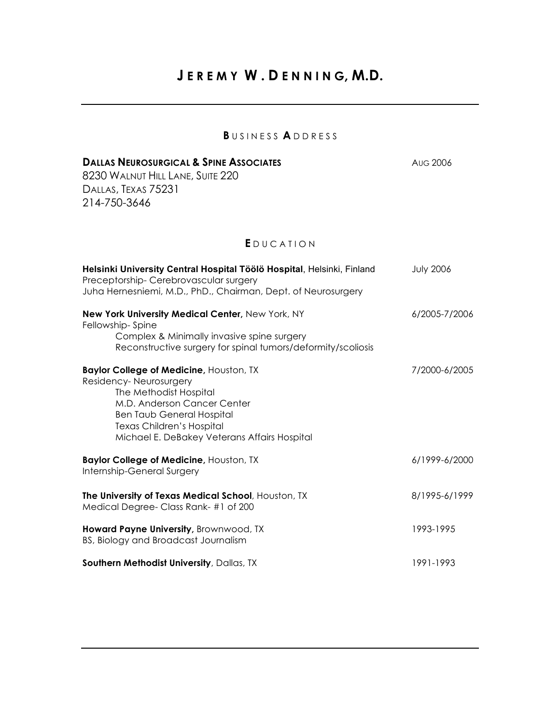## **J E R E M Y W . D E N N I N G, M.D.**

## **B** U S I N E S S **A** D D R E S S

| <b>DALLAS NEUROSURGICAL &amp; SPINE ASSOCIATES</b>                                                                                                                                                                                                 | <b>AUG 2006</b>  |
|----------------------------------------------------------------------------------------------------------------------------------------------------------------------------------------------------------------------------------------------------|------------------|
| 8230 WALNUT HILL LANE, SUITE 220<br>DALLAS, TEXAS 75231                                                                                                                                                                                            |                  |
| 214-750-3646                                                                                                                                                                                                                                       |                  |
|                                                                                                                                                                                                                                                    |                  |
| EDUCATION                                                                                                                                                                                                                                          |                  |
| Helsinki University Central Hospital Töölö Hospital, Helsinki, Finland<br>Preceptorship-Cerebrovascular surgery<br>Juha Hernesniemi, M.D., PhD., Chairman, Dept. of Neurosurgery                                                                   | <b>July 2006</b> |
| New York University Medical Center, New York, NY<br>Fellowship-Spine                                                                                                                                                                               | 6/2005-7/2006    |
| Complex & Minimally invasive spine surgery<br>Reconstructive surgery for spinal tumors/deformity/scoliosis                                                                                                                                         |                  |
| <b>Baylor College of Medicine, Houston, TX</b><br>Residency-Neurosurgery<br>The Methodist Hospital<br>M.D. Anderson Cancer Center<br><b>Ben Taub General Hospital</b><br>Texas Children's Hospital<br>Michael E. DeBakey Veterans Affairs Hospital | 7/2000-6/2005    |
| <b>Baylor College of Medicine, Houston, TX</b><br>Internship-General Surgery                                                                                                                                                                       | 6/1999-6/2000    |
| The University of Texas Medical School, Houston, TX<br>Medical Degree- Class Rank-#1 of 200                                                                                                                                                        | 8/1995-6/1999    |
| Howard Payne University, Brownwood, TX<br>BS, Biology and Broadcast Journalism                                                                                                                                                                     | 1993-1995        |
| Southern Methodist University, Dallas, TX                                                                                                                                                                                                          | 1991-1993        |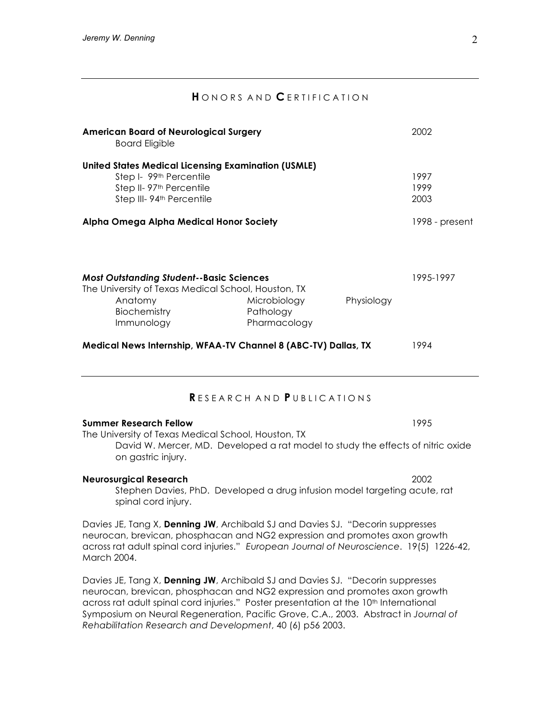## **H**ONORS AND **C**ERTIFICATION

| <b>American Board of Neurological Surgery</b><br><b>Board Eligible</b>                                                                                                                                                                                                  |                                           | 2002       |                      |
|-------------------------------------------------------------------------------------------------------------------------------------------------------------------------------------------------------------------------------------------------------------------------|-------------------------------------------|------------|----------------------|
| <b>United States Medical Licensing Examination (USMLE)</b><br>Step I- 99th Percentile<br>Step II-97 <sup>th</sup> Percentile<br>Step III-94 <sup>th</sup> Percentile                                                                                                    |                                           |            | 1997<br>1999<br>2003 |
| Alpha Omega Alpha Medical Honor Society                                                                                                                                                                                                                                 |                                           |            | 1998 - present       |
| <b>Most Outstanding Student--Basic Sciences</b><br>The University of Texas Medical School, Houston, TX<br>Anatomy<br>Biochemistry<br>Immunology                                                                                                                         | Microbiology<br>Pathology<br>Pharmacology | Physiology | 1995-1997            |
| Medical News Internship, WFAA-TV Channel 8 (ABC-TV) Dallas, TX                                                                                                                                                                                                          |                                           |            | 1994                 |
|                                                                                                                                                                                                                                                                         | RESEARCH AND PUBLICATIONS                 |            |                      |
| <b>Summer Research Fellow</b><br>The University of Texas Medical School, Houston, TX<br>David W. Mercer, MD. Developed a rat model to study the effects of nitric oxide<br>on gastric injury.                                                                           |                                           |            | 1995                 |
| <b>Neurosurgical Research</b><br>Stephen Davies, PhD. Developed a drug infusion model targeting acute, rat<br>spinal cord injury.                                                                                                                                       |                                           |            | 2002                 |
| Davies JE, Tang X, Denning JW, Archibald SJ and Davies SJ. "Decorin suppresses<br>neurocan, brevican, phosphacan and NG2 expression and promotes axon growth<br>across rat adult spinal cord injuries." European Journal of Neuroscience. 19(5) 1226-42,<br>March 2004. |                                           |            |                      |

Davies JE, Tang X, **Denning JW**, Archibald SJ and Davies SJ. "Decorin suppresses neurocan, brevican, phosphacan and NG2 expression and promotes axon growth across rat adult spinal cord injuries." Poster presentation at the 10<sup>th</sup> International Symposium on Neural Regeneration, Pacific Grove, C.A., 2003. Abstract in *Journal of Rehabilitation Research and Development*, 40 (6) p56 2003.